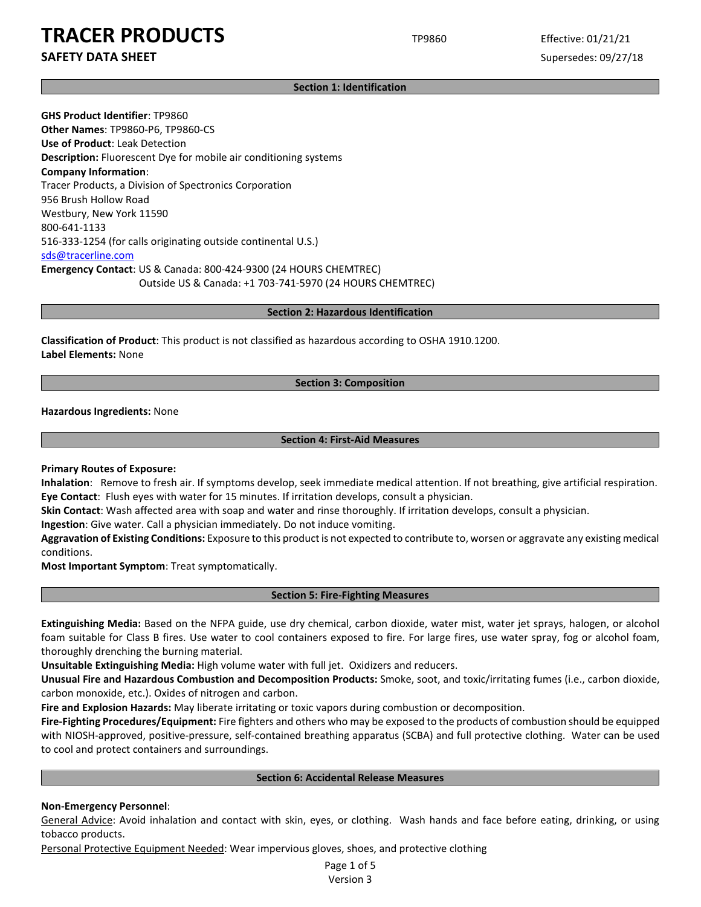### **SAFETY DATA SHEET** SUPERFOUR SUPERFOUR SUPERFOUR SUPERFOUR SUPERFOUR SUPERFOUR SUPERFOUR SUPERFOUR SUPERFOUR SUPERFOUR SUPERFOUR SUPERFOUR SUPERFOUR SUPERFOUR SUPERFOUR SUPERFOUR SUPERFOUR SUPERFOUR SUPERFOUR SUPERFOUR SU

### **Section 1: Identification**

**GHS Product Identifier**: TP9860 **Other Names**: TP9860-P6, TP9860-CS **Use of Product**: Leak Detection **Description:** Fluorescent Dye for mobile air conditioning systems **Company Information**: Tracer Products, a Division of Spectronics Corporation 956 Brush Hollow Road Westbury, New York 11590 800-641-1133 516-333-1254 (for calls originating outside continental U.S.) sds@tracerline.com **Emergency Contact**: US & Canada: 800-424-9300 (24 HOURS CHEMTREC) Outside US & Canada: +1 703-741-5970 (24 HOURS CHEMTREC)

#### **Section 2: Hazardous Identification**

**Classification of Product**: This product is not classified as hazardous according to OSHA 1910.1200. **Label Elements:** None

### **Section 3: Composition**

**Hazardous Ingredients:** None

### **Section 4: First-Aid Measures**

### **Primary Routes of Exposure:**

**Inhalation**: Remove to fresh air. If symptoms develop, seek immediate medical attention. If not breathing, give artificial respiration. **Eye Contact**: Flush eyes with water for 15 minutes. If irritation develops, consult a physician.

**Skin Contact**: Wash affected area with soap and water and rinse thoroughly. If irritation develops, consult a physician.

**Ingestion**: Give water. Call a physician immediately. Do not induce vomiting.

**Aggravation of Existing Conditions:** Exposure to this product is not expected to contribute to, worsen or aggravate any existing medical conditions.

**Most Important Symptom**: Treat symptomatically.

### **Section 5: Fire-Fighting Measures**

**Extinguishing Media:** Based on the NFPA guide, use dry chemical, carbon dioxide, water mist, water jet sprays, halogen, or alcohol foam suitable for Class B fires. Use water to cool containers exposed to fire. For large fires, use water spray, fog or alcohol foam, thoroughly drenching the burning material.

**Unsuitable Extinguishing Media:** High volume water with full jet. Oxidizers and reducers.

**Unusual Fire and Hazardous Combustion and Decomposition Products:** Smoke, soot, and toxic/irritating fumes (i.e., carbon dioxide, carbon monoxide, etc.). Oxides of nitrogen and carbon.

**Fire and Explosion Hazards:** May liberate irritating or toxic vapors during combustion or decomposition.

**Fire-Fighting Procedures/Equipment:** Fire fighters and others who may be exposed to the products of combustion should be equipped with NIOSH-approved, positive-pressure, self-contained breathing apparatus (SCBA) and full protective clothing. Water can be used to cool and protect containers and surroundings.

### **Section 6: Accidental Release Measures**

### **Non-Emergency Personnel**:

General Advice: Avoid inhalation and contact with skin, eyes, or clothing. Wash hands and face before eating, drinking, or using tobacco products.

Personal Protective Equipment Needed: Wear impervious gloves, shoes, and protective clothing

Page 1 of 5 Version 3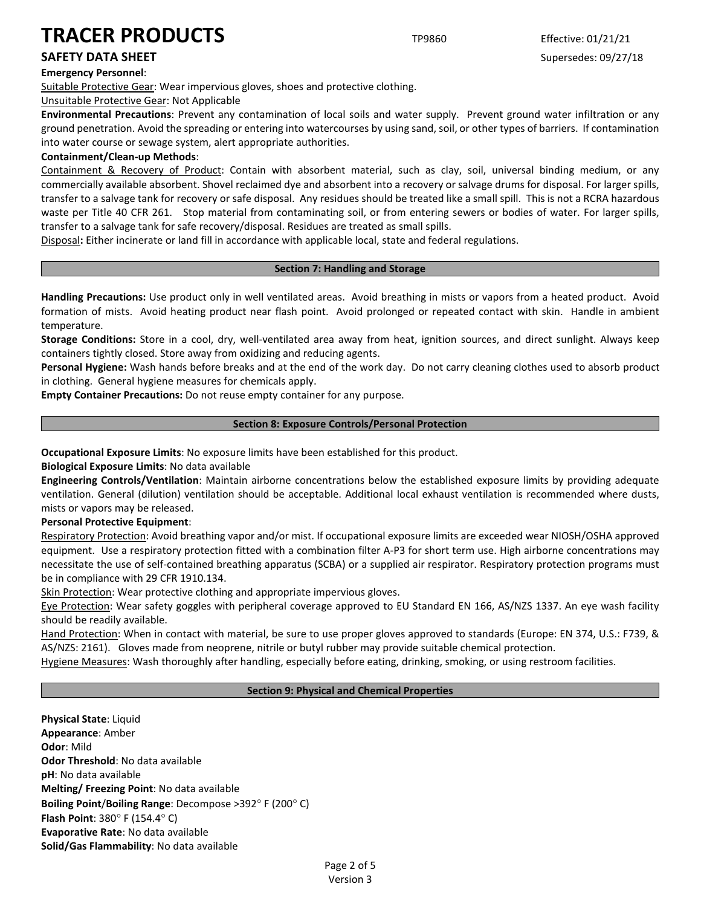### **Emergency Personnel**:

Suitable Protective Gear: Wear impervious gloves, shoes and protective clothing.

Unsuitable Protective Gear: Not Applicable

**Environmental Precautions**: Prevent any contamination of local soils and water supply. Prevent ground water infiltration or any ground penetration. Avoid the spreading or entering into watercourses by using sand, soil, or other types of barriers. If contamination into water course or sewage system, alert appropriate authorities.

### **Containment/Clean-up Methods**:

Containment & Recovery of Product: Contain with absorbent material, such as clay, soil, universal binding medium, or any commercially available absorbent. Shovel reclaimed dye and absorbent into a recovery or salvage drums for disposal. For larger spills, transfer to a salvage tank for recovery or safe disposal. Any residues should be treated like a small spill. This is not a RCRA hazardous waste per Title 40 CFR 261. Stop material from contaminating soil, or from entering sewers or bodies of water. For larger spills, transfer to a salvage tank for safe recovery/disposal. Residues are treated as small spills.

Disposal**:** Either incinerate or land fill in accordance with applicable local, state and federal regulations.

### **Section 7: Handling and Storage**

**Handling Precautions:** Use product only in well ventilated areas. Avoid breathing in mists or vapors from a heated product. Avoid formation of mists. Avoid heating product near flash point. Avoid prolonged or repeated contact with skin. Handle in ambient temperature.

**Storage Conditions:** Store in a cool, dry, well-ventilated area away from heat, ignition sources, and direct sunlight. Always keep containers tightly closed. Store away from oxidizing and reducing agents.

**Personal Hygiene:** Wash hands before breaks and at the end of the work day. Do not carry cleaning clothes used to absorb product in clothing. General hygiene measures for chemicals apply.

**Empty Container Precautions:** Do not reuse empty container for any purpose.

### **Section 8: Exposure Controls/Personal Protection**

**Occupational Exposure Limits**: No exposure limits have been established for this product.

**Biological Exposure Limits**: No data available

**Engineering Controls/Ventilation**: Maintain airborne concentrations below the established exposure limits by providing adequate ventilation. General (dilution) ventilation should be acceptable. Additional local exhaust ventilation is recommended where dusts, mists or vapors may be released.

### **Personal Protective Equipment**:

Respiratory Protection: Avoid breathing vapor and/or mist. If occupational exposure limits are exceeded wear NIOSH/OSHA approved equipment. Use a respiratory protection fitted with a combination filter A-P3 for short term use. High airborne concentrations may necessitate the use of self-contained breathing apparatus (SCBA) or a supplied air respirator. Respiratory protection programs must be in compliance with 29 CFR 1910.134.

Skin Protection: Wear protective clothing and appropriate impervious gloves.

Eye Protection: Wear safety goggles with peripheral coverage approved to EU Standard EN 166, AS/NZS 1337. An eye wash facility should be readily available.

Hand Protection: When in contact with material, be sure to use proper gloves approved to standards (Europe: EN 374, U.S.: F739, & AS/NZS: 2161). Gloves made from neoprene, nitrile or butyl rubber may provide suitable chemical protection.

Hygiene Measures: Wash thoroughly after handling, especially before eating, drinking, smoking, or using restroom facilities.

### **Section 9: Physical and Chemical Properties**

**Physical State**: Liquid **Appearance**: Amber **Odor**: Mild **Odor Threshold**: No data available **pH**: No data available **Melting/ Freezing Point**: No data available **Boiling Point**/**Boiling Range**: Decompose >392° F (200° C) **Flash Point**: 380° F (154.4° C) **Evaporative Rate**: No data available **Solid/Gas Flammability**: No data available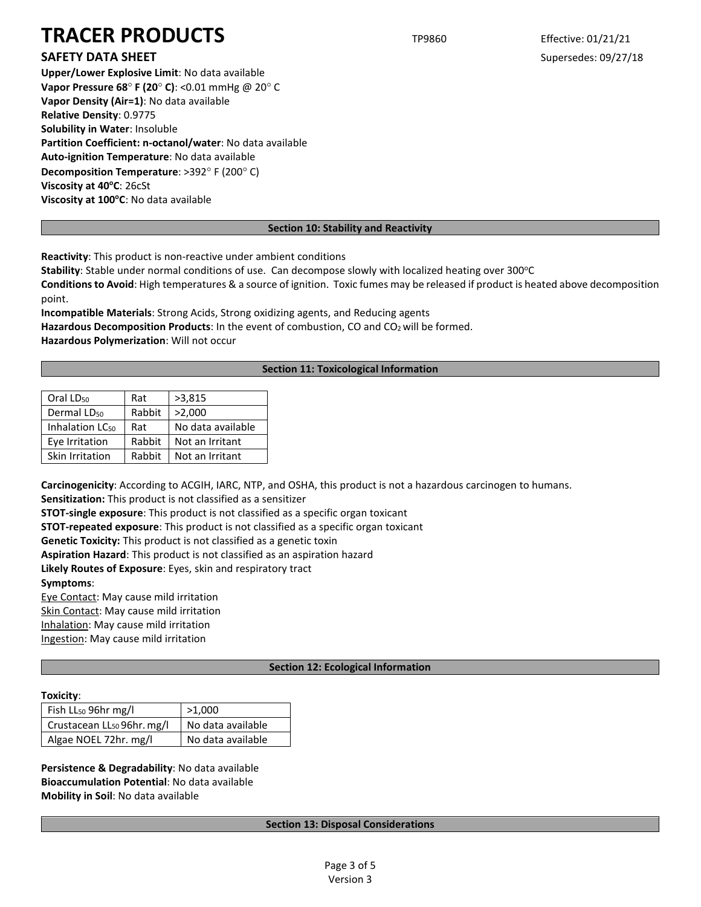### **SAFETY DATA SHEET** SUPERFOUR SUPERFOUR SUPERFOUR SUPERFOUR SUPERFOUR SUPERFOUR SUPERFOUR SUPERFOUR SUPERFOUR SUPERFOUR SUPERFOUR SUPERFOUR SUPERFOUR SUPERFOUR SUPERFOUR SUPERFOUR SUPERFOUR SUPERFOUR SUPERFOUR SUPERFOUR SU

**Upper/Lower Explosive Limit**: No data available **Vapor Pressure 68**° **F (20**° **C)**: <0.01 mmHg @ 20° C **Vapor Density (Air=1)**: No data available **Relative Density**: 0.9775 **Solubility in Water**: Insoluble **Partition Coefficient: n-octanol/water**: No data available **Auto-ignition Temperature**: No data available **Decomposition Temperature**: >392° F (200° C) **Viscosity at 40°C: 26cSt** Viscosity at 100°C: No data available

### **Section 10: Stability and Reactivity**

**Reactivity**: This product is non-reactive under ambient conditions

Stability: Stable under normal conditions of use. Can decompose slowly with localized heating over 300°C

**Conditions to Avoid**: High temperatures & a source of ignition. Toxic fumes may be released if product is heated above decomposition point.

**Incompatible Materials**: Strong Acids, Strong oxidizing agents, and Reducing agents

Hazardous Decomposition Products: In the event of combustion, CO and CO<sub>2</sub> will be formed.

**Hazardous Polymerization**: Will not occur

### **Section 11: Toxicological Information**

| Oral LD <sub>50</sub>       | Rat    | >3,815            |
|-----------------------------|--------|-------------------|
| Dermal LD <sub>50</sub>     | Rabbit | >2,000            |
| Inhalation LC <sub>50</sub> | Rat    | No data available |
| Eye Irritation              | Rabbit | Not an Irritant   |
| Skin Irritation             | Rabbit | Not an Irritant   |

**Carcinogenicity**: According to ACGIH, IARC, NTP, and OSHA, this product is not a hazardous carcinogen to humans.

**Sensitization:** This product is not classified as a sensitizer

**STOT-single exposure**: This product is not classified as a specific organ toxicant

**STOT-repeated exposure**: This product is not classified as a specific organ toxicant

**Genetic Toxicity:** This product is not classified as a genetic toxin

**Aspiration Hazard**: This product is not classified as an aspiration hazard

**Likely Routes of Exposure**: Eyes, skin and respiratory tract

**Symptoms**:

Eye Contact: May cause mild irritation

Skin Contact: May cause mild irritation

Inhalation: May cause mild irritation

Ingestion: May cause mild irritation

### **Section 12: Ecological Information**

### **Toxicity**:

| Fish LL <sub>50</sub> 96hr mg/l        | >1.000            |  |
|----------------------------------------|-------------------|--|
| Crustacean LL <sub>50</sub> 96hr. mg/l | No data available |  |
| Algae NOEL 72hr. mg/l                  | No data available |  |

**Persistence & Degradability**: No data available **Bioaccumulation Potential**: No data available **Mobility in Soil**: No data available

### **Section 13: Disposal Considerations**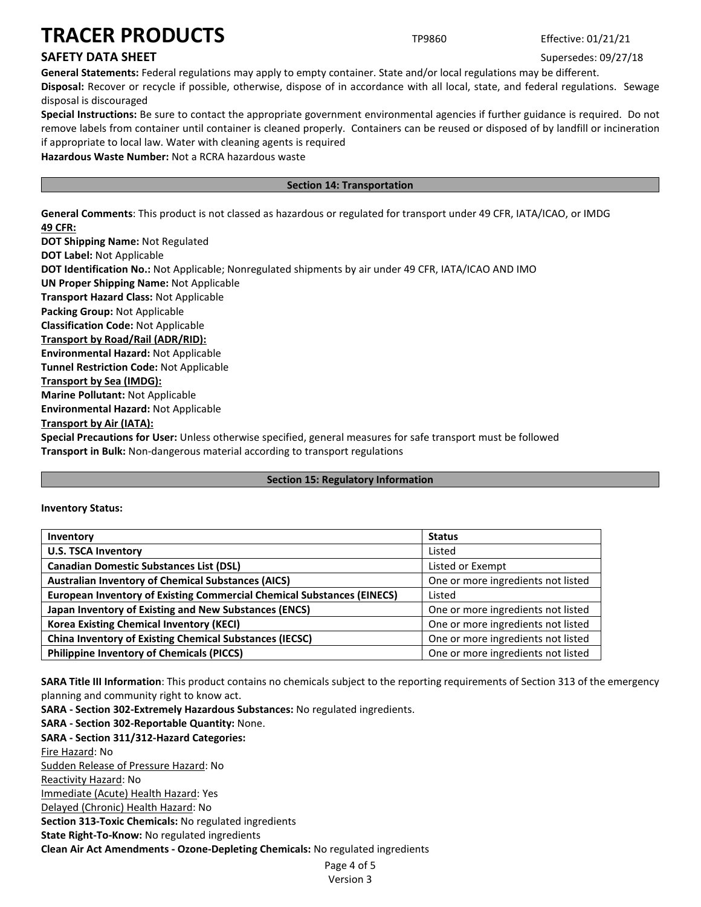### **SAFETY DATA SHEET** SUPERFOUR SUPERFOUR SUPERFOUR SUPERFOUR SUPERFOUR SUPERFOUR SUPERFOUR SUPERFOUR SUPERFOUR SUPERFOUR SUPERFOUR SUPERFOUR SUPERFOUR SUPERFOUR SUPERFOUR SUPERFOUR SUPERFOUR SUPERFOUR SUPERFOUR SUPERFOUR SU

**General Statements:** Federal regulations may apply to empty container. State and/or local regulations may be different.

**Disposal:** Recover or recycle if possible, otherwise, dispose of in accordance with all local, state, and federal regulations. Sewage disposal is discouraged

**Special Instructions:** Be sure to contact the appropriate government environmental agencies if further guidance is required. Do not remove labels from container until container is cleaned properly. Containers can be reused or disposed of by landfill or incineration if appropriate to local law. Water with cleaning agents is required

**Hazardous Waste Number:** Not a RCRA hazardous waste

### **Section 14: Transportation**

**General Comments**: This product is not classed as hazardous or regulated for transport under 49 CFR, IATA/ICAO, or IMDG **49 CFR:**

**DOT Shipping Name:** Not Regulated **DOT Label:** Not Applicable **DOT Identification No.:** Not Applicable; Nonregulated shipments by air under 49 CFR, IATA/ICAO AND IMO **UN Proper Shipping Name:** Not Applicable **Transport Hazard Class:** Not Applicable **Packing Group:** Not Applicable **Classification Code:** Not Applicable **Transport by Road/Rail (ADR/RID): Environmental Hazard:** Not Applicable **Tunnel Restriction Code:** Not Applicable **Transport by Sea (IMDG): Marine Pollutant:** Not Applicable **Environmental Hazard:** Not Applicable **Transport by Air (IATA): Special Precautions for User:** Unless otherwise specified, general measures for safe transport must be followed **Transport in Bulk:** Non-dangerous material according to transport regulations

### **Section 15: Regulatory Information**

**Inventory Status:** 

| Inventory                                                                     | <b>Status</b>                      |
|-------------------------------------------------------------------------------|------------------------------------|
| <b>U.S. TSCA Inventory</b>                                                    | Listed                             |
| <b>Canadian Domestic Substances List (DSL)</b>                                | Listed or Exempt                   |
| <b>Australian Inventory of Chemical Substances (AICS)</b>                     | One or more ingredients not listed |
| <b>European Inventory of Existing Commercial Chemical Substances (EINECS)</b> | Listed                             |
| Japan Inventory of Existing and New Substances (ENCS)                         | One or more ingredients not listed |
| <b>Korea Existing Chemical Inventory (KECI)</b>                               | One or more ingredients not listed |
| <b>China Inventory of Existing Chemical Substances (IECSC)</b>                | One or more ingredients not listed |
| <b>Philippine Inventory of Chemicals (PICCS)</b>                              | One or more ingredients not listed |

**SARA Title III Information**: This product contains no chemicals subject to the reporting requirements of Section 313 of the emergency planning and community right to know act.

**SARA - Section 302-Extremely Hazardous Substances:** No regulated ingredients.

**SARA - Section 302-Reportable Quantity:** None. **SARA - Section 311/312-Hazard Categories:** Fire Hazard: No Sudden Release of Pressure Hazard: No Reactivity Hazard: No Immediate (Acute) Health Hazard: Yes Delayed (Chronic) Health Hazard: No **Section 313-Toxic Chemicals:** No regulated ingredients **State Right-To-Know:** No regulated ingredients **Clean Air Act Amendments - Ozone-Depleting Chemicals:** No regulated ingredients

Page 4 of 5 Version 3